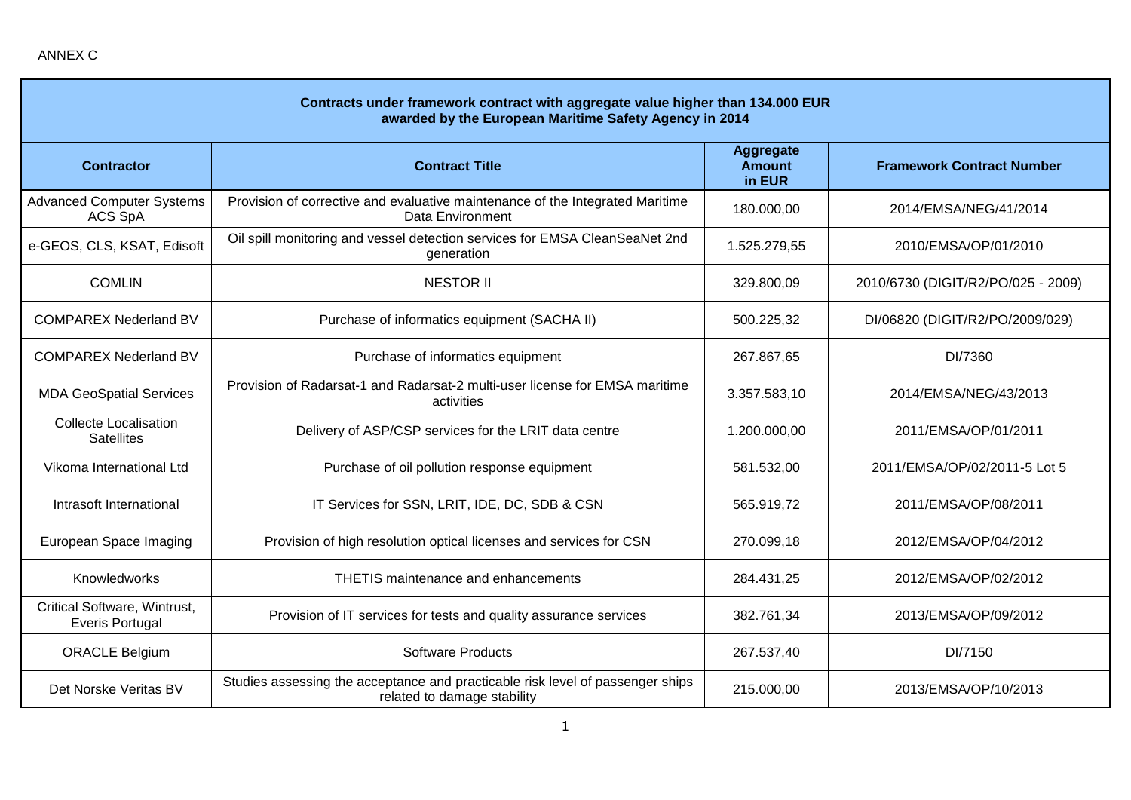| Contracts under framework contract with aggregate value higher than 134.000 EUR<br>awarded by the European Maritime Safety Agency in 2014 |                                                                                                               |                                             |                                    |  |
|-------------------------------------------------------------------------------------------------------------------------------------------|---------------------------------------------------------------------------------------------------------------|---------------------------------------------|------------------------------------|--|
| <b>Contractor</b>                                                                                                                         | <b>Contract Title</b>                                                                                         | <b>Aggregate</b><br><b>Amount</b><br>in EUR | <b>Framework Contract Number</b>   |  |
| <b>Advanced Computer Systems</b><br>ACS SpA                                                                                               | Provision of corrective and evaluative maintenance of the Integrated Maritime<br>Data Environment             | 180.000,00                                  | 2014/EMSA/NEG/41/2014              |  |
| e-GEOS, CLS, KSAT, Edisoft                                                                                                                | Oil spill monitoring and vessel detection services for EMSA CleanSeaNet 2nd<br>generation                     | 1.525.279,55                                | 2010/EMSA/OP/01/2010               |  |
| <b>COMLIN</b>                                                                                                                             | <b>NESTOR II</b>                                                                                              | 329.800,09                                  | 2010/6730 (DIGIT/R2/PO/025 - 2009) |  |
| <b>COMPAREX Nederland BV</b>                                                                                                              | Purchase of informatics equipment (SACHA II)                                                                  | 500.225,32                                  | DI/06820 (DIGIT/R2/PO/2009/029)    |  |
| <b>COMPAREX Nederland BV</b>                                                                                                              | Purchase of informatics equipment                                                                             | 267.867,65                                  | DI/7360                            |  |
| <b>MDA GeoSpatial Services</b>                                                                                                            | Provision of Radarsat-1 and Radarsat-2 multi-user license for EMSA maritime<br>activities                     | 3.357.583,10                                | 2014/EMSA/NEG/43/2013              |  |
| <b>Collecte Localisation</b><br><b>Satellites</b>                                                                                         | Delivery of ASP/CSP services for the LRIT data centre                                                         | 1.200.000,00                                | 2011/EMSA/OP/01/2011               |  |
| Vikoma International Ltd                                                                                                                  | Purchase of oil pollution response equipment                                                                  | 581.532,00                                  | 2011/EMSA/OP/02/2011-5 Lot 5       |  |
| Intrasoft International                                                                                                                   | IT Services for SSN, LRIT, IDE, DC, SDB & CSN                                                                 | 565.919,72                                  | 2011/EMSA/OP/08/2011               |  |
| European Space Imaging                                                                                                                    | Provision of high resolution optical licenses and services for CSN                                            | 270.099,18                                  | 2012/EMSA/OP/04/2012               |  |
| Knowledworks                                                                                                                              | THETIS maintenance and enhancements                                                                           | 284.431,25                                  | 2012/EMSA/OP/02/2012               |  |
| Critical Software, Wintrust,<br><b>Everis Portugal</b>                                                                                    | Provision of IT services for tests and quality assurance services                                             | 382.761,34                                  | 2013/EMSA/OP/09/2012               |  |
| <b>ORACLE Belgium</b>                                                                                                                     | <b>Software Products</b>                                                                                      | 267.537,40                                  | DI/7150                            |  |
| Det Norske Veritas BV                                                                                                                     | Studies assessing the acceptance and practicable risk level of passenger ships<br>related to damage stability | 215.000,00                                  | 2013/EMSA/OP/10/2013               |  |

÷